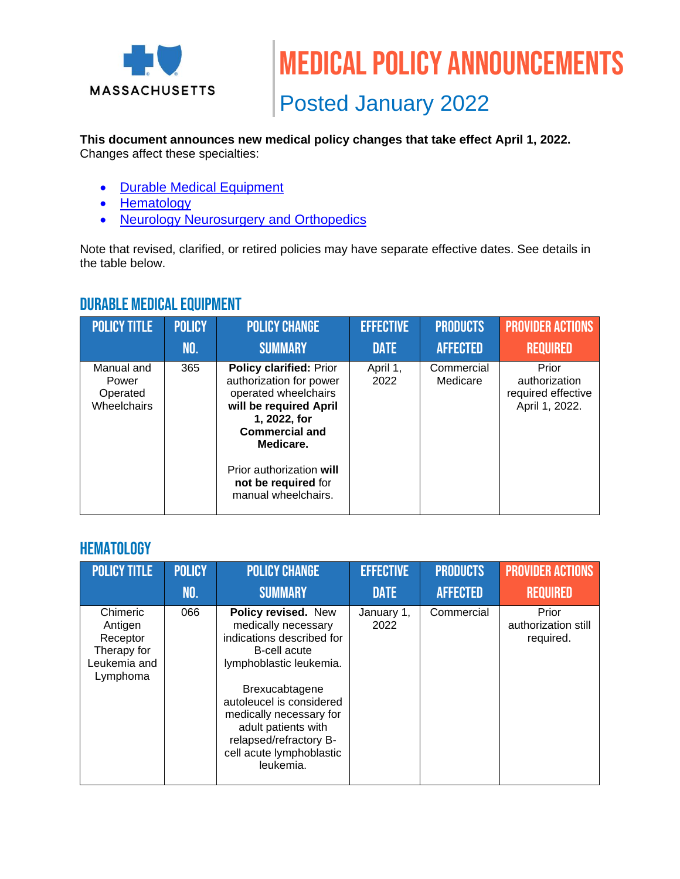

#### **This document announces new medical policy changes that take effect April 1, 2022.**

Changes affect these specialties:

- [Durable Medical Equipment](#page-0-0)
- [Hematology](#page-0-1)
- [Neurology Neurosurgery and Orthopedics](#page-1-0)

Note that revised, clarified, or retired policies may have separate effective dates. See details in the table below.

### <span id="page-0-1"></span><span id="page-0-0"></span>Durable Medical Equipment

| <b>POLICY TITLE</b>                            | <b>POLICY</b> | <b>POLICY CHANGE</b>                                                                                                                                                                                                                        | <b>EFFECTIVE</b> | <b>PRODUCTS</b>        | <b>PROVIDER ACTIONS</b>                                        |
|------------------------------------------------|---------------|---------------------------------------------------------------------------------------------------------------------------------------------------------------------------------------------------------------------------------------------|------------------|------------------------|----------------------------------------------------------------|
|                                                | NO.           | <b>SUMMARY</b>                                                                                                                                                                                                                              | <b>DATE</b>      | <b>AFFECTED</b>        | <b>REQUIRED</b>                                                |
| Manual and<br>Power<br>Operated<br>Wheelchairs | 365           | <b>Policy clarified: Prior</b><br>authorization for power<br>operated wheelchairs<br>will be required April<br>1, 2022, for<br><b>Commercial and</b><br>Medicare.<br>Prior authorization will<br>not be required for<br>manual wheelchairs. | April 1,<br>2022 | Commercial<br>Medicare | Prior<br>authorization<br>required effective<br>April 1, 2022. |

## **HEMATOLOGY**

| <b>POLICY TITLE</b>                                                        | <b>POLICY</b> | <b>POLICY CHANGE</b>                                                                                                                                                                                                                                                                         | <b>EFFECTIVE</b>   | <b>PRODUCTS</b> | <b>PROVIDER ACTIONS</b>                   |
|----------------------------------------------------------------------------|---------------|----------------------------------------------------------------------------------------------------------------------------------------------------------------------------------------------------------------------------------------------------------------------------------------------|--------------------|-----------------|-------------------------------------------|
|                                                                            | <b>NO.</b>    | <b>SUMMARY</b>                                                                                                                                                                                                                                                                               | <b>DATE</b>        | <b>AFFECTED</b> | <b>REQUIRED</b>                           |
| Chimeric<br>Antigen<br>Receptor<br>Therapy for<br>Leukemia and<br>Lymphoma | 066           | Policy revised. New<br>medically necessary<br>indications described for<br><b>B-cell acute</b><br>lymphoblastic leukemia.<br>Brexucabtagene<br>autoleucel is considered<br>medically necessary for<br>adult patients with<br>relapsed/refractory B-<br>cell acute lymphoblastic<br>leukemia. | January 1,<br>2022 | Commercial      | Prior<br>authorization still<br>required. |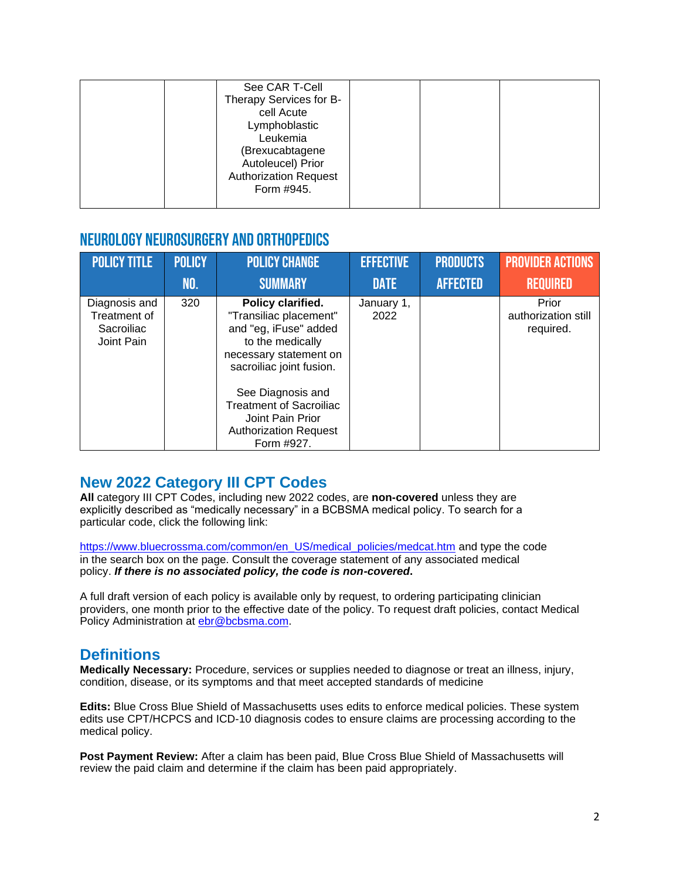| See CAR T-Cell<br>Therapy Services for B-<br>cell Acute<br>Lymphoblastic<br>Leukemia<br>(Brexucabtagene<br>Autoleucel) Prior |  |  |
|------------------------------------------------------------------------------------------------------------------------------|--|--|
| <b>Authorization Request</b><br>Form #945.                                                                                   |  |  |

## <span id="page-1-0"></span>Neurology Neurosurgery and Orthopedics

| <b>POLICY TITLE</b>                                       | <b>POLICY</b> | <b>POLICY CHANGE</b>                                                                                                                                                                                                                                                    | <b>EFFECTIVE</b>   | <b>PRODUCTS</b> | <b>PROVIDER ACTIONS</b>                   |
|-----------------------------------------------------------|---------------|-------------------------------------------------------------------------------------------------------------------------------------------------------------------------------------------------------------------------------------------------------------------------|--------------------|-----------------|-------------------------------------------|
|                                                           | <b>NO.</b>    | <b>SUMMARY</b>                                                                                                                                                                                                                                                          | <b>DATE</b>        | <b>AFFECTED</b> | <b>REQUIRED</b>                           |
| Diagnosis and<br>Treatment of<br>Sacroiliac<br>Joint Pain | 320           | Policy clarified.<br>"Transiliac placement"<br>and "eg, iFuse" added<br>to the medically<br>necessary statement on<br>sacroiliac joint fusion.<br>See Diagnosis and<br><b>Treatment of Sacroiliac</b><br>Joint Pain Prior<br><b>Authorization Request</b><br>Form #927. | January 1,<br>2022 |                 | Prior<br>authorization still<br>required. |

### **New 2022 Category III CPT Codes**

**All** category III CPT Codes, including new 2022 codes, are **non-covered** unless they are explicitly described as "medically necessary" in a BCBSMA medical policy. To search for a particular code, click the following link:

[https://www.bluecrossma.com/common/en\\_US/medical\\_policies/medcat.htm](https://www.bluecrossma.com/common/en_US/medical_policies/medcat.htm) and type the code in the search box on the page. Consult the coverage statement of any associated medical policy. *If there is no associated policy, the code is non-covered***.**

A full draft version of each policy is available only by request, to ordering participating clinician providers, one month prior to the effective date of the policy. To request draft policies, contact Medical Policy Administration at [ebr@bcbsma.com.](mailto:ebr@bcbsma.com)

# **Definitions**

**Medically Necessary:** Procedure, services or supplies needed to diagnose or treat an illness, injury, condition, disease, or its symptoms and that meet accepted standards of medicine

**Edits:** Blue Cross Blue Shield of Massachusetts uses edits to enforce medical policies. These system edits use CPT/HCPCS and ICD-10 diagnosis codes to ensure claims are processing according to the medical policy.

**Post Payment Review:** After a claim has been paid, Blue Cross Blue Shield of Massachusetts will review the paid claim and determine if the claim has been paid appropriately.